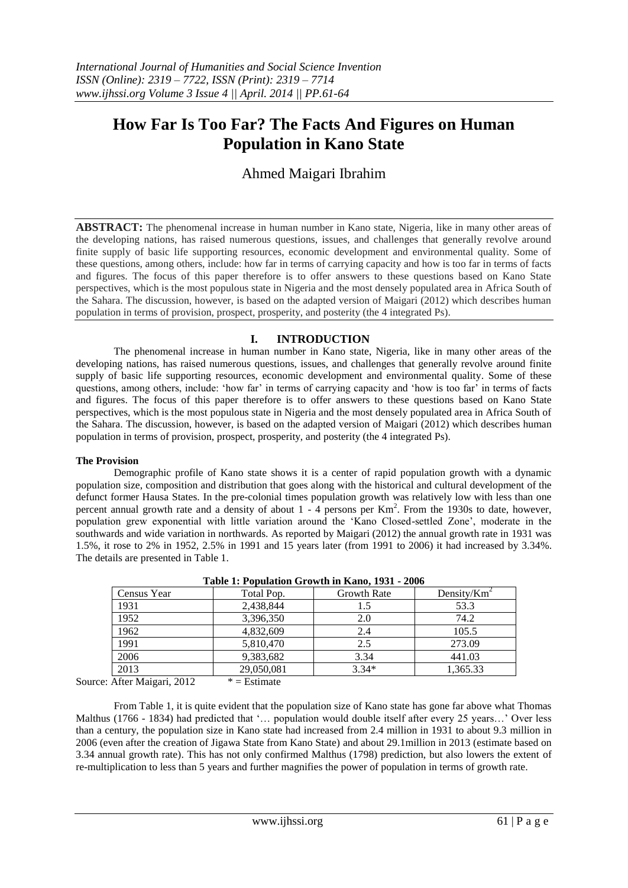# **How Far Is Too Far? The Facts And Figures on Human Population in Kano State**

Ahmed Maigari Ibrahim

**ABSTRACT:** The phenomenal increase in human number in Kano state, Nigeria, like in many other areas of the developing nations, has raised numerous questions, issues, and challenges that generally revolve around finite supply of basic life supporting resources, economic development and environmental quality. Some of these questions, among others, include: how far in terms of carrying capacity and how is too far in terms of facts and figures. The focus of this paper therefore is to offer answers to these questions based on Kano State perspectives, which is the most populous state in Nigeria and the most densely populated area in Africa South of the Sahara. The discussion, however, is based on the adapted version of Maigari (2012) which describes human population in terms of provision, prospect, prosperity, and posterity (the 4 integrated Ps).

## **I. INTRODUCTION**

The phenomenal increase in human number in Kano state, Nigeria, like in many other areas of the developing nations, has raised numerous questions, issues, and challenges that generally revolve around finite supply of basic life supporting resources, economic development and environmental quality. Some of these questions, among others, include: "how far" in terms of carrying capacity and "how is too far" in terms of facts and figures. The focus of this paper therefore is to offer answers to these questions based on Kano State perspectives, which is the most populous state in Nigeria and the most densely populated area in Africa South of the Sahara. The discussion, however, is based on the adapted version of Maigari (2012) which describes human population in terms of provision, prospect, prosperity, and posterity (the 4 integrated Ps).

## **The Provision**

Demographic profile of Kano state shows it is a center of rapid population growth with a dynamic population size, composition and distribution that goes along with the historical and cultural development of the defunct former Hausa States. In the pre-colonial times population growth was relatively low with less than one percent annual growth rate and a density of about 1 - 4 persons per Km<sup>2</sup>. From the 1930s to date, however, population grew exponential with little variation around the "Kano Closed-settled Zone", moderate in the southwards and wide variation in northwards. As reported by Maigari (2012) the annual growth rate in 1931 was 1.5%, it rose to 2% in 1952, 2.5% in 1991 and 15 years later (from 1991 to 2006) it had increased by 3.34%. The details are presented in Table 1.

| Census Year | Total Pop. | <b>Growth Rate</b> | Density/ $Km^2$ |  |  |  |  |  |  |
|-------------|------------|--------------------|-----------------|--|--|--|--|--|--|
| 1931        | 2,438,844  | 1.5                | 53.3            |  |  |  |  |  |  |
| 1952        | 3,396,350  | 2.0                | 74.2            |  |  |  |  |  |  |
| 1962        | 4,832,609  | 2.4                | 105.5           |  |  |  |  |  |  |
| 1991        | 5,810,470  | 2.5                | 273.09          |  |  |  |  |  |  |
| 2006        | 9,383,682  | 3.34               | 441.03          |  |  |  |  |  |  |
| 2013        | 29,050,081 | $3.34*$            | 1,365.33        |  |  |  |  |  |  |
|             |            |                    |                 |  |  |  |  |  |  |

|  |  | Table 1: Population Growth in Kano, 1931 - 2006 |  |  |  |  |
|--|--|-------------------------------------------------|--|--|--|--|
|--|--|-------------------------------------------------|--|--|--|--|

Source: After Maigari,  $2012 \qquad * =$  Estimate

From Table 1, it is quite evident that the population size of Kano state has gone far above what Thomas Malthus (1766 - 1834) had predicted that "... population would double itself after every 25 years..." Over less than a century, the population size in Kano state had increased from 2.4 million in 1931 to about 9.3 million in 2006 (even after the creation of Jigawa State from Kano State) and about 29.1million in 2013 (estimate based on 3.34 annual growth rate). This has not only confirmed Malthus (1798) prediction, but also lowers the extent of re-multiplication to less than 5 years and further magnifies the power of population in terms of growth rate.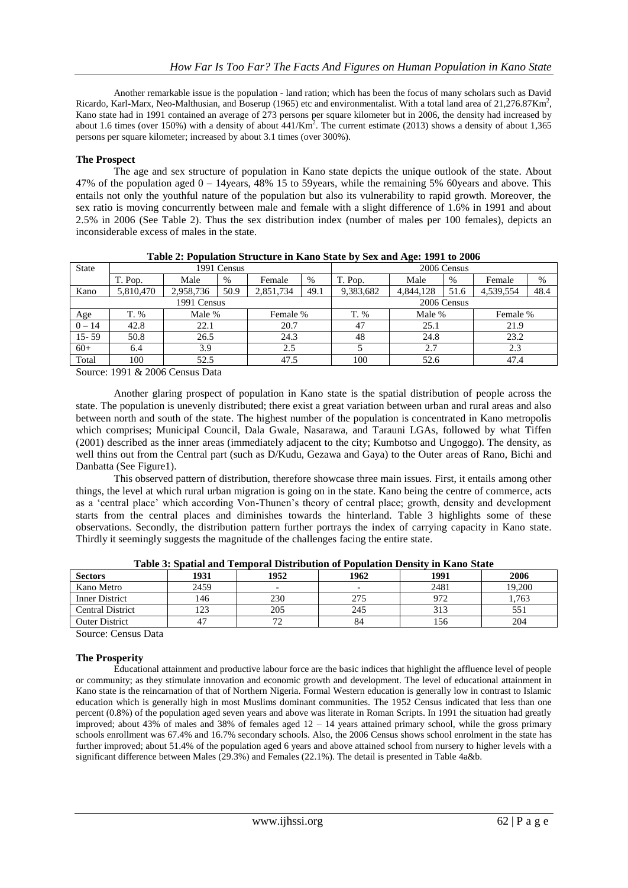Another remarkable issue is the population - land ration; which has been the focus of many scholars such as David Ricardo, Karl-Marx, Neo-Malthusian, and Boserup (1965) etc and environmentalist. With a total land area of  $21,276.87$ Km<sup>2</sup>, Kano state had in 1991 contained an average of 273 persons per square kilometer but in 2006, the density had increased by about 1.6 times (over 150%) with a density of about  $441/\text{Km}^2$ . The current estimate (2013) shows a density of about 1,365 persons per square kilometer; increased by about 3.1 times (over 300%).

## **The Prospect**

The age and sex structure of population in Kano state depicts the unique outlook of the state. About 47% of the population aged 0 – 14years, 48% 15 to 59years, while the remaining 5% 60years and above. This entails not only the youthful nature of the population but also its vulnerability to rapid growth. Moreover, the sex ratio is moving concurrently between male and female with a slight difference of 1.6% in 1991 and about 2.5% in 2006 (See Table 2). Thus the sex distribution index (number of males per 100 females), depicts an inconsiderable excess of males in the state.

| <b>State</b> | 1991 Census |           |        |           |             | $\bullet$<br>2006 Census |           |      |           |      |
|--------------|-------------|-----------|--------|-----------|-------------|--------------------------|-----------|------|-----------|------|
|              | T. Pop.     | Male      | $\%$   | Female    | $\%$        | T. Pop.                  | Male      | $\%$ | Female    | $\%$ |
| Kano         | 5,810,470   | 2,958,736 | 50.9   | 2,851,734 | 49.1        | 9,383,682                | 4,844,128 | 51.6 | 4,539,554 | 48.4 |
| 1991 Census  |             |           |        |           | 2006 Census |                          |           |      |           |      |
| Age          | T. %        |           | Male % |           | Female %    |                          | Male %    |      | Female %  |      |
| $0 - 14$     | 42.8        | 22.1      |        | 20.7      |             | 47                       | 25.1      |      | 21.9      |      |
| $15 - 59$    | 50.8        | 26.5      |        | 24.3      |             | 48                       | 24.8      |      | 23.2      |      |
| $60+$        | 6.4         | 3.9       |        | 2.5       |             |                          | 2.7       |      | 2.3       |      |
| Total        | 100         | 52.5      |        | 47.5      |             | 100                      | 52.6      |      | 47.4      |      |

**Table 2: Population Structure in Kano State by Sex and Age: 1991 to 2006**

Source: 1991 & 2006 Census Data

Another glaring prospect of population in Kano state is the spatial distribution of people across the state. The population is unevenly distributed; there exist a great variation between urban and rural areas and also between north and south of the state. The highest number of the population is concentrated in Kano metropolis which comprises; Municipal Council, Dala Gwale, Nasarawa, and Tarauni LGAs, followed by what Tiffen (2001) described as the inner areas (immediately adjacent to the city; Kumbotso and Ungoggo). The density, as well thins out from the Central part (such as D/Kudu, Gezawa and Gaya) to the Outer areas of Rano, Bichi and Danbatta (See Figure1).

This observed pattern of distribution, therefore showcase three main issues. First, it entails among other things, the level at which rural urban migration is going on in the state. Kano being the centre of commerce, acts as a "central place" which according Von-Thunen"s theory of central place; growth, density and development starts from the central places and diminishes towards the hinterland. Table 3 highlights some of these observations. Secondly, the distribution pattern further portrays the index of carrying capacity in Kano state. Thirdly it seemingly suggests the magnitude of the challenges facing the entire state.

| <b>Sectors</b>          | 1931 | 1952                     | 1962                     | 1991 | 2006   |
|-------------------------|------|--------------------------|--------------------------|------|--------|
| Kano Metro              | 2459 | $\overline{\phantom{0}}$ | $\overline{\phantom{0}}$ | 2481 | 19,200 |
| <b>Inner District</b>   | 146  | 230                      | 275                      | 972  | 1.763  |
| <b>Central District</b> | 123  | 205                      | 245                      | 313  |        |
| <b>Outer District</b>   | 47   |                          | 84                       | 156  | 204    |

**Table 3: Spatial and Temporal Distribution of Population Density in Kano State**

Source: Census Data

## **The Prosperity**

Educational attainment and productive labour force are the basic indices that highlight the affluence level of people or community; as they stimulate innovation and economic growth and development. The level of educational attainment in Kano state is the reincarnation of that of Northern Nigeria. Formal Western education is generally low in contrast to Islamic education which is generally high in most Muslims dominant communities. The 1952 Census indicated that less than one percent (0.8%) of the population aged seven years and above was literate in Roman Scripts. In 1991 the situation had greatly improved; about 43% of males and 38% of females aged  $12 - 14$  years attained primary school, while the gross primary schools enrollment was 67.4% and 16.7% secondary schools. Also, the 2006 Census shows school enrolment in the state has further improved; about 51.4% of the population aged 6 years and above attained school from nursery to higher levels with a significant difference between Males (29.3%) and Females (22.1%). The detail is presented in Table 4a&b.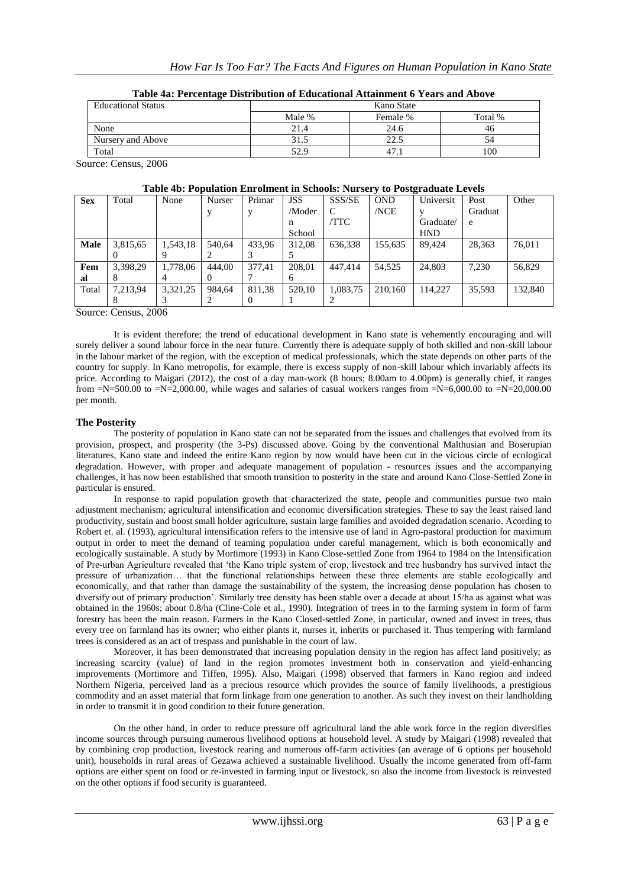| <b>Educational Status</b> | Kano State |                |         |  |  |  |  |
|---------------------------|------------|----------------|---------|--|--|--|--|
|                           | Male %     | Female %       | Total % |  |  |  |  |
| None                      | 21.4       | 24.6           | 46      |  |  |  |  |
| Nursery and Above         | 31.5       | າາ<br>ل د کے ک |         |  |  |  |  |
| Total                     | 52.9       | 47.            | 100     |  |  |  |  |

Source: Census, 2006

| Table 4b: Population Enrolment in Schools: Nursery to Postgraduate Levels |  |  |  |
|---------------------------------------------------------------------------|--|--|--|
|---------------------------------------------------------------------------|--|--|--|

| <b>Sex</b> | Total    | None     | Nurser | Primar | <b>JSS</b> | SSS/SE   | <b>OND</b> | Universit  | Post    | Other   |
|------------|----------|----------|--------|--------|------------|----------|------------|------------|---------|---------|
|            |          |          |        |        | /Moder     | C        | /NCE       |            | Graduat |         |
|            |          |          |        |        | n          | /TTC     |            | Graduate/  | e       |         |
|            |          |          |        |        | School     |          |            | <b>HND</b> |         |         |
| Male       | 3,815,65 | 1.543.18 | 540.64 | 433.96 | 312,08     | 636.338  | 155.635    | 89.424     | 28.363  | 76.011  |
|            |          |          |        |        |            |          |            |            |         |         |
| Fem        | 3.398.29 | 1,778,06 | 444.00 | 377.41 | 208.01     | 447,414  | 54.525     | 24,803     | 7.230   | 56.829  |
| al         | 8        |          |        |        | 6          |          |            |            |         |         |
| Total      | 7.213.94 | 3.321.25 | 984.64 | 811.38 | 520.10     | 1.083.75 | 210.160    | 114,227    | 35.593  | 132,840 |
|            |          |          |        |        |            |          |            |            |         |         |

Source: Census, 2006

It is evident therefore; the trend of educational development in Kano state is vehemently encouraging and will surely deliver a sound labour force in the near future. Currently there is adequate supply of both skilled and non-skill labour in the labour market of the region, with the exception of medical professionals, which the state depends on other parts of the country for supply. In Kano metropolis, for example, there is excess supply of non-skill labour which invariably affects its price. According to Maigari (2012), the cost of a day man-work (8 hours; 8.00am to 4.00pm) is generally chief, it ranges from  $=N=500.00$  to  $=N=2,000.00$ , while wages and salaries of casual workers ranges from  $=N=6,000.00$  to  $=N=20,000.00$ . per month.

### **The Posterity**

The posterity of population in Kano state can not be separated from the issues and challenges that evolved from its provision, prospect, and prosperity (the 3-Ps) discussed above. Going by the conventional Malthusian and Boserupian literatures, Kano state and indeed the entire Kano region by now would have been cut in the vicious circle of ecological degradation. However, with proper and adequate management of population - resources issues and the accompanying challenges, it has now been established that smooth transition to posterity in the state and around Kano Close-Settled Zone in particular is ensured.

In response to rapid population growth that characterized the state, people and communities pursue two main adjustment mechanism; agricultural intensification and economic diversification strategies. These to say the least raised land productivity, sustain and boost small holder agriculture, sustain large families and avoided degradation scenario. Acording to Robert et. al. (1993), agricultural intensification refers to the intensive use of land in Agro-pastoral production for maximum output in order to meet the demand of teaming population under careful management, which is both economically and ecologically sustainable. A study by Mortimore (1993) in Kano Close-settled Zone from 1964 to 1984 on the Intensification of Pre-urban Agriculture revealed that "the Kano triple system of crop, livestock and tree husbandry has survived intact the pressure of urbanization… that the functional relationships between these three elements are stable ecologically and economically, and that rather than damage the sustainability of the system, the increasing dense population has chosen to diversify out of primary production". Similarly tree density has been stable over a decade at about 15/ha as against what was obtained in the 1960s; about 0.8/ha (Cline-Cole et al., 1990). Integration of trees in to the farming system in form of farm forestry has been the main reason. Farmers in the Kano Closed-settled Zone, in particular, owned and invest in trees, thus every tree on farmland has its owner; who either plants it, nurses it, inherits or purchased it. Thus tempering with farmland trees is considered as an act of trespass and punishable in the court of law.

Moreover, it has been demonstrated that increasing population density in the region has affect land positively; as increasing scarcity (value) of land in the region promotes investment both in conservation and yield-enhancing improvements (Mortimore and Tiffen, 1995). Also, Maigari (1998) observed that farmers in Kano region and indeed Northern Nigeria, perceived land as a precious resource which provides the source of family livelihoods, a prestigious commodity and an asset material that form linkage from one generation to another. As such they invest on their landholding in order to transmit it in good condition to their future generation.

On the other hand, in order to reduce pressure off agricultural land the able work force in the region diversifies income sources through pursuing numerous livelihood options at household level. A study by Maigari (1998) revealed that by combining crop production, livestock rearing and numerous off-farm activities (an average of 6 options per household unit), households in rural areas of Gezawa achieved a sustainable livelihood. Usually the income generated from off-farm options are either spent on food or re-invested in farming input or livestock, so also the income from livestock is reinvested on the other options if food security is guaranteed.